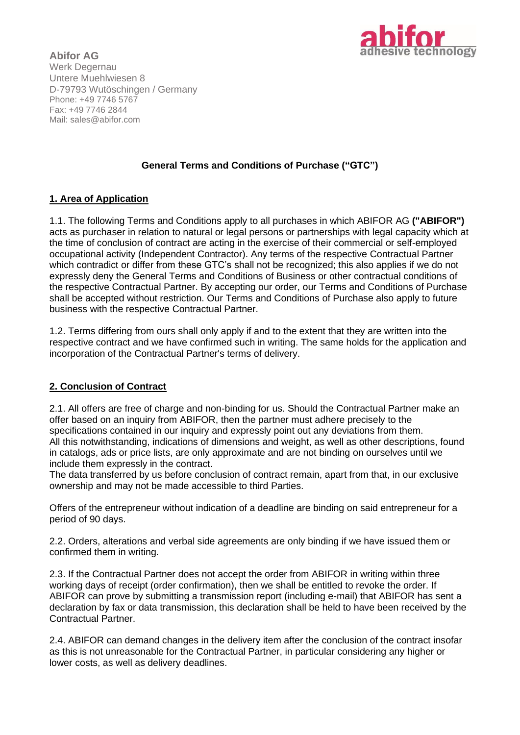

**Abifor AG** Werk Degernau Untere Muehlwiesen 8 D-79793 Wutöschingen / Germany Phone: +49 7746 5767 Fax: +49 7746 2844 Mail: sales@abifor.com

# **General Terms and Conditions of Purchase ("GTC")**

#### **1. Area of Application**

1.1. The following Terms and Conditions apply to all purchases in which ABIFOR AG **("ABIFOR")**  acts as purchaser in relation to natural or legal persons or partnerships with legal capacity which at the time of conclusion of contract are acting in the exercise of their commercial or self-employed occupational activity (Independent Contractor). Any terms of the respective Contractual Partner which contradict or differ from these GTC's shall not be recognized; this also applies if we do not expressly deny the General Terms and Conditions of Business or other contractual conditions of the respective Contractual Partner. By accepting our order, our Terms and Conditions of Purchase shall be accepted without restriction. Our Terms and Conditions of Purchase also apply to future business with the respective Contractual Partner.

1.2. Terms differing from ours shall only apply if and to the extent that they are written into the respective contract and we have confirmed such in writing. The same holds for the application and incorporation of the Contractual Partner's terms of delivery.

# **2. Conclusion of Contract**

2.1. All offers are free of charge and non-binding for us. Should the Contractual Partner make an offer based on an inquiry from ABIFOR, then the partner must adhere precisely to the specifications contained in our inquiry and expressly point out any deviations from them. All this notwithstanding, indications of dimensions and weight, as well as other descriptions, found in catalogs, ads or price lists, are only approximate and are not binding on ourselves until we include them expressly in the contract.

The data transferred by us before conclusion of contract remain, apart from that, in our exclusive ownership and may not be made accessible to third Parties.

Offers of the entrepreneur without indication of a deadline are binding on said entrepreneur for a period of 90 days.

2.2. Orders, alterations and verbal side agreements are only binding if we have issued them or confirmed them in writing.

2.3. If the Contractual Partner does not accept the order from ABIFOR in writing within three working days of receipt (order confirmation), then we shall be entitled to revoke the order. If ABIFOR can prove by submitting a transmission report (including e-mail) that ABIFOR has sent a declaration by fax or data transmission, this declaration shall be held to have been received by the Contractual Partner.

2.4. ABIFOR can demand changes in the delivery item after the conclusion of the contract insofar as this is not unreasonable for the Contractual Partner, in particular considering any higher or lower costs, as well as delivery deadlines.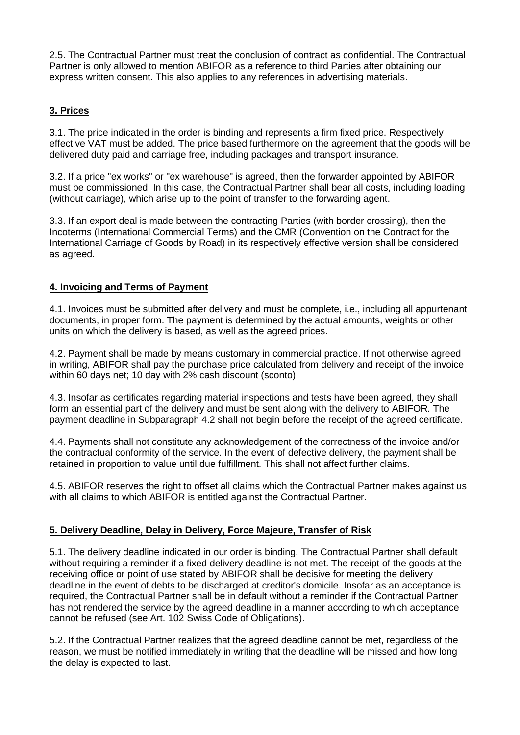2.5. The Contractual Partner must treat the conclusion of contract as confidential. The Contractual Partner is only allowed to mention ABIFOR as a reference to third Parties after obtaining our express written consent. This also applies to any references in advertising materials.

# **3. Prices**

3.1. The price indicated in the order is binding and represents a firm fixed price. Respectively effective VAT must be added. The price based furthermore on the agreement that the goods will be delivered duty paid and carriage free, including packages and transport insurance.

3.2. If a price "ex works" or "ex warehouse" is agreed, then the forwarder appointed by ABIFOR must be commissioned. In this case, the Contractual Partner shall bear all costs, including loading (without carriage), which arise up to the point of transfer to the forwarding agent.

3.3. If an export deal is made between the contracting Parties (with border crossing), then the Incoterms (International Commercial Terms) and the CMR (Convention on the Contract for the International Carriage of Goods by Road) in its respectively effective version shall be considered as agreed.

# **4. Invoicing and Terms of Payment**

4.1. Invoices must be submitted after delivery and must be complete, i.e., including all appurtenant documents, in proper form. The payment is determined by the actual amounts, weights or other units on which the delivery is based, as well as the agreed prices.

4.2. Payment shall be made by means customary in commercial practice. If not otherwise agreed in writing, ABIFOR shall pay the purchase price calculated from delivery and receipt of the invoice within 60 days net; 10 day with 2% cash discount (sconto).

4.3. Insofar as certificates regarding material inspections and tests have been agreed, they shall form an essential part of the delivery and must be sent along with the delivery to ABIFOR. The payment deadline in Subparagraph 4.2 shall not begin before the receipt of the agreed certificate.

4.4. Payments shall not constitute any acknowledgement of the correctness of the invoice and/or the contractual conformity of the service. In the event of defective delivery, the payment shall be retained in proportion to value until due fulfillment. This shall not affect further claims.

4.5. ABIFOR reserves the right to offset all claims which the Contractual Partner makes against us with all claims to which ABIFOR is entitled against the Contractual Partner.

#### **5. Delivery Deadline, Delay in Delivery, Force Majeure, Transfer of Risk**

5.1. The delivery deadline indicated in our order is binding. The Contractual Partner shall default without requiring a reminder if a fixed delivery deadline is not met. The receipt of the goods at the receiving office or point of use stated by ABIFOR shall be decisive for meeting the delivery deadline in the event of debts to be discharged at creditor's domicile. Insofar as an acceptance is required, the Contractual Partner shall be in default without a reminder if the Contractual Partner has not rendered the service by the agreed deadline in a manner according to which acceptance cannot be refused (see Art. 102 Swiss Code of Obligations).

5.2. If the Contractual Partner realizes that the agreed deadline cannot be met, regardless of the reason, we must be notified immediately in writing that the deadline will be missed and how long the delay is expected to last.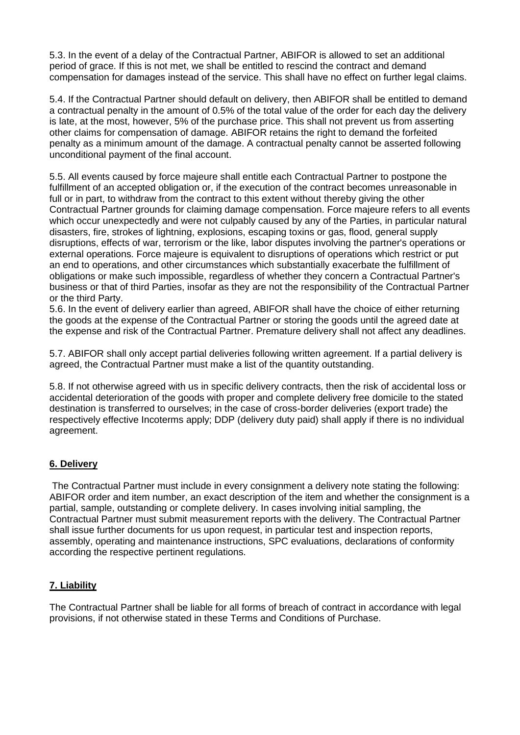5.3. In the event of a delay of the Contractual Partner, ABIFOR is allowed to set an additional period of grace. If this is not met, we shall be entitled to rescind the contract and demand compensation for damages instead of the service. This shall have no effect on further legal claims.

5.4. If the Contractual Partner should default on delivery, then ABIFOR shall be entitled to demand a contractual penalty in the amount of 0.5% of the total value of the order for each day the delivery is late, at the most, however, 5% of the purchase price. This shall not prevent us from asserting other claims for compensation of damage. ABIFOR retains the right to demand the forfeited penalty as a minimum amount of the damage. A contractual penalty cannot be asserted following unconditional payment of the final account.

5.5. All events caused by force majeure shall entitle each Contractual Partner to postpone the fulfillment of an accepted obligation or, if the execution of the contract becomes unreasonable in full or in part, to withdraw from the contract to this extent without thereby giving the other Contractual Partner grounds for claiming damage compensation. Force majeure refers to all events which occur unexpectedly and were not culpably caused by any of the Parties, in particular natural disasters, fire, strokes of lightning, explosions, escaping toxins or gas, flood, general supply disruptions, effects of war, terrorism or the like, labor disputes involving the partner's operations or external operations. Force majeure is equivalent to disruptions of operations which restrict or put an end to operations, and other circumstances which substantially exacerbate the fulfillment of obligations or make such impossible, regardless of whether they concern a Contractual Partner's business or that of third Parties, insofar as they are not the responsibility of the Contractual Partner or the third Party.

5.6. In the event of delivery earlier than agreed, ABIFOR shall have the choice of either returning the goods at the expense of the Contractual Partner or storing the goods until the agreed date at the expense and risk of the Contractual Partner. Premature delivery shall not affect any deadlines.

5.7. ABIFOR shall only accept partial deliveries following written agreement. If a partial delivery is agreed, the Contractual Partner must make a list of the quantity outstanding.

5.8. If not otherwise agreed with us in specific delivery contracts, then the risk of accidental loss or accidental deterioration of the goods with proper and complete delivery free domicile to the stated destination is transferred to ourselves; in the case of cross-border deliveries (export trade) the respectively effective Incoterms apply; DDP (delivery duty paid) shall apply if there is no individual agreement.

# **6. Delivery**

The Contractual Partner must include in every consignment a delivery note stating the following: ABIFOR order and item number, an exact description of the item and whether the consignment is a partial, sample, outstanding or complete delivery. In cases involving initial sampling, the Contractual Partner must submit measurement reports with the delivery. The Contractual Partner shall issue further documents for us upon request, in particular test and inspection reports, assembly, operating and maintenance instructions, SPC evaluations, declarations of conformity according the respective pertinent regulations.

# **7. Liability**

The Contractual Partner shall be liable for all forms of breach of contract in accordance with legal provisions, if not otherwise stated in these Terms and Conditions of Purchase.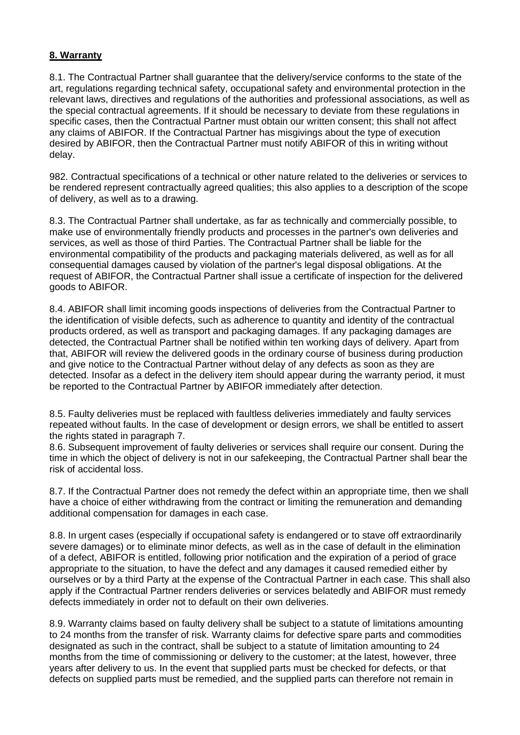#### **8. Warranty**

8.1. The Contractual Partner shall guarantee that the delivery/service conforms to the state of the art, regulations regarding technical safety, occupational safety and environmental protection in the relevant laws, directives and regulations of the authorities and professional associations, as well as the special contractual agreements. If it should be necessary to deviate from these regulations in specific cases, then the Contractual Partner must obtain our written consent; this shall not affect any claims of ABIFOR. If the Contractual Partner has misgivings about the type of execution desired by ABIFOR, then the Contractual Partner must notify ABIFOR of this in writing without delay.

982. Contractual specifications of a technical or other nature related to the deliveries or services to be rendered represent contractually agreed qualities; this also applies to a description of the scope of delivery, as well as to a drawing.

8.3. The Contractual Partner shall undertake, as far as technically and commercially possible, to make use of environmentally friendly products and processes in the partner's own deliveries and services, as well as those of third Parties. The Contractual Partner shall be liable for the environmental compatibility of the products and packaging materials delivered, as well as for all consequential damages caused by violation of the partner's legal disposal obligations. At the request of ABIFOR, the Contractual Partner shall issue a certificate of inspection for the delivered goods to ABIFOR.

8.4. ABIFOR shall limit incoming goods inspections of deliveries from the Contractual Partner to the identification of visible defects, such as adherence to quantity and identity of the contractual products ordered, as well as transport and packaging damages. If any packaging damages are detected, the Contractual Partner shall be notified within ten working days of delivery. Apart from that, ABIFOR will review the delivered goods in the ordinary course of business during production and give notice to the Contractual Partner without delay of any defects as soon as they are detected. Insofar as a defect in the delivery item should appear during the warranty period, it must be reported to the Contractual Partner by ABIFOR immediately after detection.

8.5. Faulty deliveries must be replaced with faultless deliveries immediately and faulty services repeated without faults. In the case of development or design errors, we shall be entitled to assert the rights stated in paragraph 7.

8.6. Subsequent improvement of faulty deliveries or services shall require our consent. During the time in which the object of delivery is not in our safekeeping, the Contractual Partner shall bear the risk of accidental loss.

8.7. If the Contractual Partner does not remedy the defect within an appropriate time, then we shall have a choice of either withdrawing from the contract or limiting the remuneration and demanding additional compensation for damages in each case.

8.8. In urgent cases (especially if occupational safety is endangered or to stave off extraordinarily severe damages) or to eliminate minor defects, as well as in the case of default in the elimination of a defect, ABIFOR is entitled, following prior notification and the expiration of a period of grace appropriate to the situation, to have the defect and any damages it caused remedied either by ourselves or by a third Party at the expense of the Contractual Partner in each case. This shall also apply if the Contractual Partner renders deliveries or services belatedly and ABIFOR must remedy defects immediately in order not to default on their own deliveries.

8.9. Warranty claims based on faulty delivery shall be subject to a statute of limitations amounting to 24 months from the transfer of risk. Warranty claims for defective spare parts and commodities designated as such in the contract, shall be subject to a statute of limitation amounting to 24 months from the time of commissioning or delivery to the customer; at the latest, however, three years after delivery to us. In the event that supplied parts must be checked for defects, or that defects on supplied parts must be remedied, and the supplied parts can therefore not remain in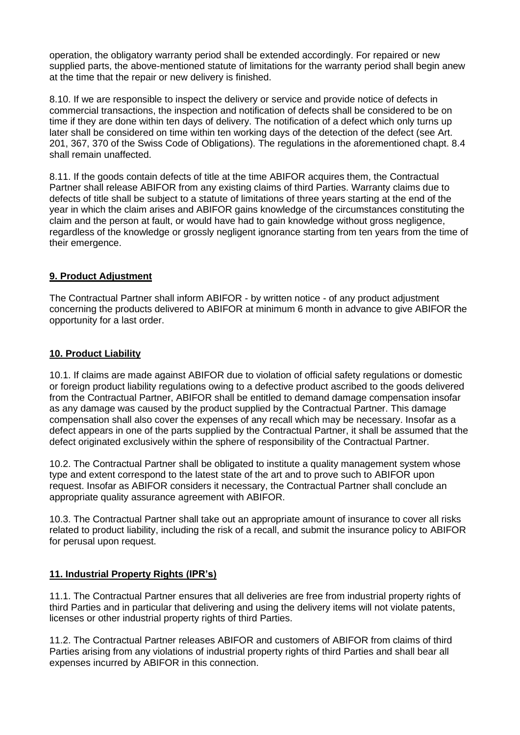operation, the obligatory warranty period shall be extended accordingly. For repaired or new supplied parts, the above-mentioned statute of limitations for the warranty period shall begin anew at the time that the repair or new delivery is finished.

8.10. If we are responsible to inspect the delivery or service and provide notice of defects in commercial transactions, the inspection and notification of defects shall be considered to be on time if they are done within ten days of delivery. The notification of a defect which only turns up later shall be considered on time within ten working days of the detection of the defect (see Art. 201, 367, 370 of the Swiss Code of Obligations). The regulations in the aforementioned chapt. 8.4 shall remain unaffected.

8.11. If the goods contain defects of title at the time ABIFOR acquires them, the Contractual Partner shall release ABIFOR from any existing claims of third Parties. Warranty claims due to defects of title shall be subject to a statute of limitations of three years starting at the end of the year in which the claim arises and ABIFOR gains knowledge of the circumstances constituting the claim and the person at fault, or would have had to gain knowledge without gross negligence, regardless of the knowledge or grossly negligent ignorance starting from ten years from the time of their emergence.

# **9. Product Adjustment**

The Contractual Partner shall inform ABIFOR - by written notice - of any product adjustment concerning the products delivered to ABIFOR at minimum 6 month in advance to give ABIFOR the opportunity for a last order.

#### **10. Product Liability**

10.1. If claims are made against ABIFOR due to violation of official safety regulations or domestic or foreign product liability regulations owing to a defective product ascribed to the goods delivered from the Contractual Partner, ABIFOR shall be entitled to demand damage compensation insofar as any damage was caused by the product supplied by the Contractual Partner. This damage compensation shall also cover the expenses of any recall which may be necessary. Insofar as a defect appears in one of the parts supplied by the Contractual Partner, it shall be assumed that the defect originated exclusively within the sphere of responsibility of the Contractual Partner.

10.2. The Contractual Partner shall be obligated to institute a quality management system whose type and extent correspond to the latest state of the art and to prove such to ABIFOR upon request. Insofar as ABIFOR considers it necessary, the Contractual Partner shall conclude an appropriate quality assurance agreement with ABIFOR.

10.3. The Contractual Partner shall take out an appropriate amount of insurance to cover all risks related to product liability, including the risk of a recall, and submit the insurance policy to ABIFOR for perusal upon request.

#### **11. Industrial Property Rights (IPR's)**

11.1. The Contractual Partner ensures that all deliveries are free from industrial property rights of third Parties and in particular that delivering and using the delivery items will not violate patents, licenses or other industrial property rights of third Parties.

11.2. The Contractual Partner releases ABIFOR and customers of ABIFOR from claims of third Parties arising from any violations of industrial property rights of third Parties and shall bear all expenses incurred by ABIFOR in this connection.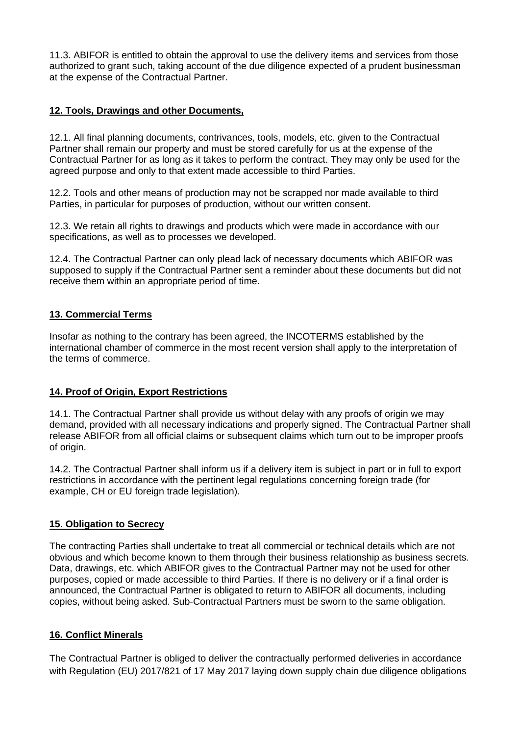11.3. ABIFOR is entitled to obtain the approval to use the delivery items and services from those authorized to grant such, taking account of the due diligence expected of a prudent businessman at the expense of the Contractual Partner.

# **12. Tools, Drawings and other Documents,**

12.1. All final planning documents, contrivances, tools, models, etc. given to the Contractual Partner shall remain our property and must be stored carefully for us at the expense of the Contractual Partner for as long as it takes to perform the contract. They may only be used for the agreed purpose and only to that extent made accessible to third Parties.

12.2. Tools and other means of production may not be scrapped nor made available to third Parties, in particular for purposes of production, without our written consent.

12.3. We retain all rights to drawings and products which were made in accordance with our specifications, as well as to processes we developed.

12.4. The Contractual Partner can only plead lack of necessary documents which ABIFOR was supposed to supply if the Contractual Partner sent a reminder about these documents but did not receive them within an appropriate period of time.

# **13. Commercial Terms**

Insofar as nothing to the contrary has been agreed, the INCOTERMS established by the international chamber of commerce in the most recent version shall apply to the interpretation of the terms of commerce.

# **14. Proof of Origin, Export Restrictions**

14.1. The Contractual Partner shall provide us without delay with any proofs of origin we may demand, provided with all necessary indications and properly signed. The Contractual Partner shall release ABIFOR from all official claims or subsequent claims which turn out to be improper proofs of origin.

14.2. The Contractual Partner shall inform us if a delivery item is subject in part or in full to export restrictions in accordance with the pertinent legal regulations concerning foreign trade (for example, CH or EU foreign trade legislation).

# **15. Obligation to Secrecy**

The contracting Parties shall undertake to treat all commercial or technical details which are not obvious and which become known to them through their business relationship as business secrets. Data, drawings, etc. which ABIFOR gives to the Contractual Partner may not be used for other purposes, copied or made accessible to third Parties. If there is no delivery or if a final order is announced, the Contractual Partner is obligated to return to ABIFOR all documents, including copies, without being asked. Sub-Contractual Partners must be sworn to the same obligation.

# **16. Conflict Minerals**

The Contractual Partner is obliged to deliver the contractually performed deliveries in accordance with Regulation (EU) 2017/821 of 17 May 2017 laying down supply chain due diligence obligations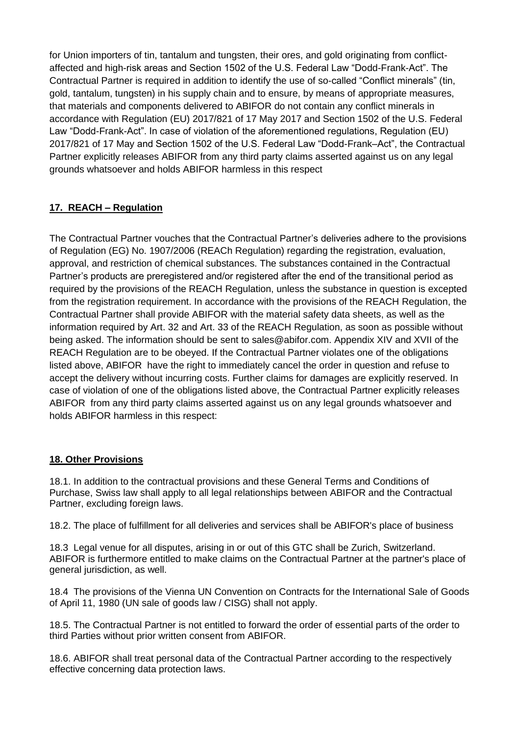for Union importers of tin, tantalum and tungsten, their ores, and gold originating from conflictaffected and high-risk areas and Section 1502 of the U.S. Federal Law "Dodd-Frank-Act". The Contractual Partner is required in addition to identify the use of so-called "Conflict minerals" (tin, gold, tantalum, tungsten) in his supply chain and to ensure, by means of appropriate measures, that materials and components delivered to ABIFOR do not contain any conflict minerals in accordance with Regulation (EU) 2017/821 of 17 May 2017 and Section 1502 of the U.S. Federal Law "Dodd-Frank-Act". In case of violation of the aforementioned regulations, Regulation (EU) 2017/821 of 17 May and Section 1502 of the U.S. Federal Law "Dodd-Frank–Act", the Contractual Partner explicitly releases ABIFOR from any third party claims asserted against us on any legal grounds whatsoever and holds ABIFOR harmless in this respect

# **17. REACH – Regulation**

The Contractual Partner vouches that the Contractual Partner's deliveries adhere to the provisions of Regulation (EG) No. 1907/2006 (REACh Regulation) regarding the registration, evaluation, approval, and restriction of chemical substances. The substances contained in the Contractual Partner's products are preregistered and/or registered after the end of the transitional period as required by the provisions of the REACH Regulation, unless the substance in question is excepted from the registration requirement. In accordance with the provisions of the REACH Regulation, the Contractual Partner shall provide ABIFOR with the material safety data sheets, as well as the information required by Art. 32 and Art. 33 of the REACH Regulation, as soon as possible without being asked. The information should be sent to sales@abifor.com. Appendix XIV and XVII of the REACH Regulation are to be obeyed. If the Contractual Partner violates one of the obligations listed above, ABIFOR have the right to immediately cancel the order in question and refuse to accept the delivery without incurring costs. Further claims for damages are explicitly reserved. In case of violation of one of the obligations listed above, the Contractual Partner explicitly releases ABIFOR from any third party claims asserted against us on any legal grounds whatsoever and holds ABIFOR harmless in this respect:

# **18. Other Provisions**

18.1. In addition to the contractual provisions and these General Terms and Conditions of Purchase, Swiss law shall apply to all legal relationships between ABIFOR and the Contractual Partner, excluding foreign laws.

18.2. The place of fulfillment for all deliveries and services shall be ABIFOR's place of business

18.3 Legal venue for all disputes, arising in or out of this GTC shall be Zurich, Switzerland. ABIFOR is furthermore entitled to make claims on the Contractual Partner at the partner's place of general jurisdiction, as well.

18.4 The provisions of the Vienna UN Convention on Contracts for the International Sale of Goods of April 11, 1980 (UN sale of goods law / CISG) shall not apply.

18.5. The Contractual Partner is not entitled to forward the order of essential parts of the order to third Parties without prior written consent from ABIFOR.

18.6. ABIFOR shall treat personal data of the Contractual Partner according to the respectively effective concerning data protection laws.